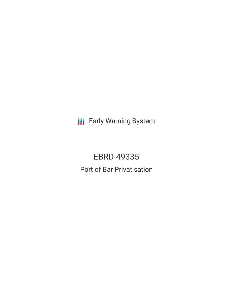**III** Early Warning System

EBRD-49335 Port of Bar Privatisation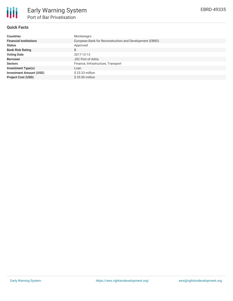

## **Quick Facts**

| <b>Countries</b>               | Montenegro                                              |
|--------------------------------|---------------------------------------------------------|
| <b>Financial Institutions</b>  | European Bank for Reconstruction and Development (EBRD) |
| <b>Status</b>                  | Approved                                                |
| <b>Bank Risk Rating</b>        | B                                                       |
| <b>Voting Date</b>             | 2017-12-13                                              |
| <b>Borrower</b>                | <b>JSC Port of Adria</b>                                |
| <b>Sectors</b>                 | Finance, Infrastructure, Transport                      |
| <b>Investment Type(s)</b>      | Loan                                                    |
| <b>Investment Amount (USD)</b> | $$23.33$ million                                        |
| <b>Project Cost (USD)</b>      | \$35,00 million                                         |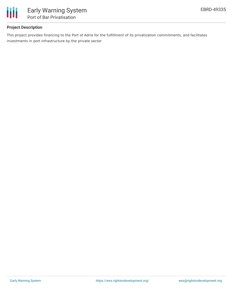

# **Project Description**

This project provides financing to the Port of Adria for the fulfillment of its privatization commitments, and facilitates investments in port infrastructure by the private sector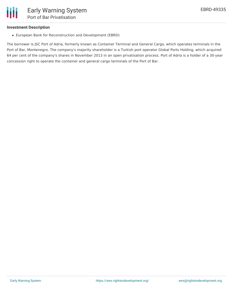

#### **Investment Description**

European Bank for Reconstruction and Development (EBRD)

The borrower is JSC Port of Adria, formerly known as Container Terminal and General Cargo, which operates terminals in the Port of Bar, Montenegro. The company's majority shareholder is a Turkish port operator Global Ports Holding, which acquired 64 per cent of the company's shares in November 2013 in an open privatisation process. Port of Adria is a holder of a 30-year concession right to operate the container and general cargo terminals of the Port of Bar.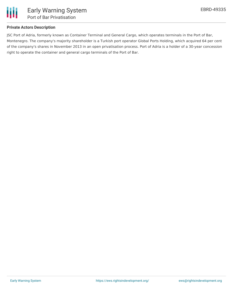

### **Private Actors Description**

JSC Port of Adria, formerly known as Container Terminal and General Cargo, which operates terminals in the Port of Bar, Montenegro. The company's majority shareholder is a Turkish port operator Global Ports Holding, which acquired 64 per cent of the company's shares in November 2013 in an open privatisation process. Port of Adria is a holder of a 30-year concession right to operate the container and general cargo terminals of the Port of Bar.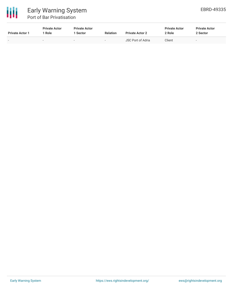

| <b>Private Actor 1</b> | <b>Private Actor</b><br>1 Role | <b>Private Actor</b><br>. Sector | <b>Relation</b>          | <b>Private Actor 2</b> | <b>Private Actor</b><br>2 Role | <b>Private Actor</b><br>2 Sector |
|------------------------|--------------------------------|----------------------------------|--------------------------|------------------------|--------------------------------|----------------------------------|
|                        | $\overline{\phantom{a}}$       |                                  | $\overline{\phantom{0}}$ | JSC Port of Adria      | Client                         | -                                |